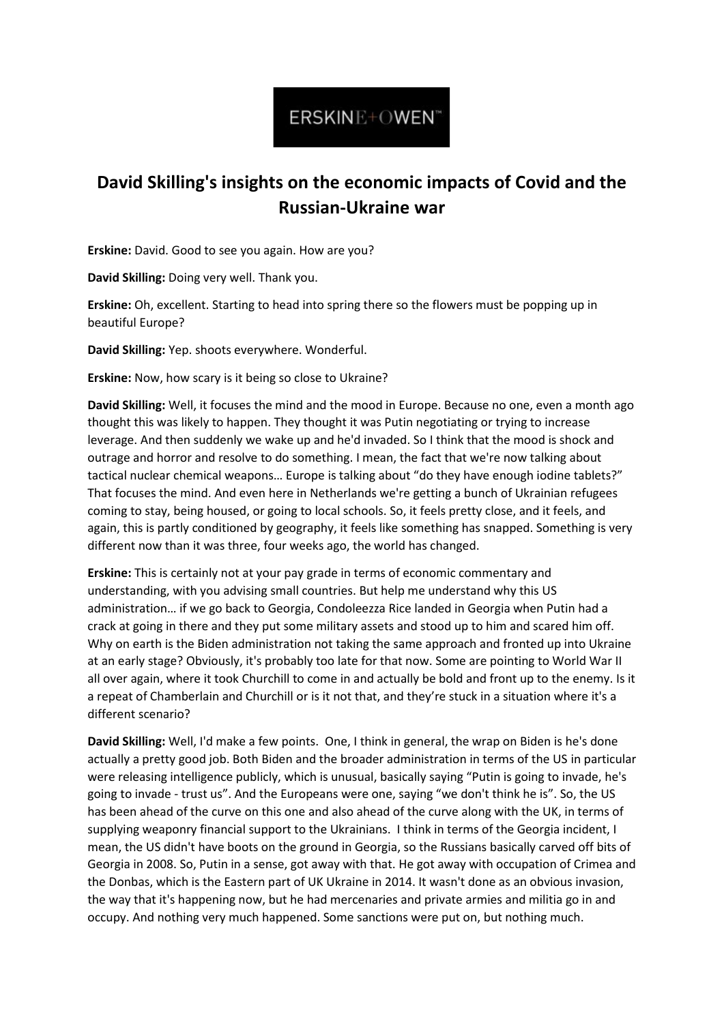## ERSKINE+OWEN"

## **David Skilling's insights on the economic impacts of Covid and the Russian-Ukraine war**

**Erskine:** David. Good to see you again. How are you?

**David Skilling:** Doing very well. Thank you.

**Erskine:** Oh, excellent. Starting to head into spring there so the flowers must be popping up in beautiful Europe?

**David Skilling:** Yep. shoots everywhere. Wonderful.

**Erskine:** Now, how scary is it being so close to Ukraine?

**David Skilling:** Well, it focuses the mind and the mood in Europe. Because no one, even a month ago thought this was likely to happen. They thought it was Putin negotiating or trying to increase leverage. And then suddenly we wake up and he'd invaded. So I think that the mood is shock and outrage and horror and resolve to do something. I mean, the fact that we're now talking about tactical nuclear chemical weapons… Europe is talking about "do they have enough iodine tablets?" That focuses the mind. And even here in Netherlands we're getting a bunch of Ukrainian refugees coming to stay, being housed, or going to local schools. So, it feels pretty close, and it feels, and again, this is partly conditioned by geography, it feels like something has snapped. Something is very different now than it was three, four weeks ago, the world has changed.

**Erskine:** This is certainly not at your pay grade in terms of economic commentary and understanding, with you advising small countries. But help me understand why this US administration… if we go back to Georgia, Condoleezza Rice landed in Georgia when Putin had a crack at going in there and they put some military assets and stood up to him and scared him off. Why on earth is the Biden administration not taking the same approach and fronted up into Ukraine at an early stage? Obviously, it's probably too late for that now. Some are pointing to World War II all over again, where it took Churchill to come in and actually be bold and front up to the enemy. Is it a repeat of Chamberlain and Churchill or is it not that, and they're stuck in a situation where it's a different scenario?

**David Skilling:** Well, I'd make a few points. One, I think in general, the wrap on Biden is he's done actually a pretty good job. Both Biden and the broader administration in terms of the US in particular were releasing intelligence publicly, which is unusual, basically saying "Putin is going to invade, he's going to invade - trust us". And the Europeans were one, saying "we don't think he is". So, the US has been ahead of the curve on this one and also ahead of the curve along with the UK, in terms of supplying weaponry financial support to the Ukrainians. I think in terms of the Georgia incident, I mean, the US didn't have boots on the ground in Georgia, so the Russians basically carved off bits of Georgia in 2008. So, Putin in a sense, got away with that. He got away with occupation of Crimea and the Donbas, which is the Eastern part of UK Ukraine in 2014. It wasn't done as an obvious invasion, the way that it's happening now, but he had mercenaries and private armies and militia go in and occupy. And nothing very much happened. Some sanctions were put on, but nothing much.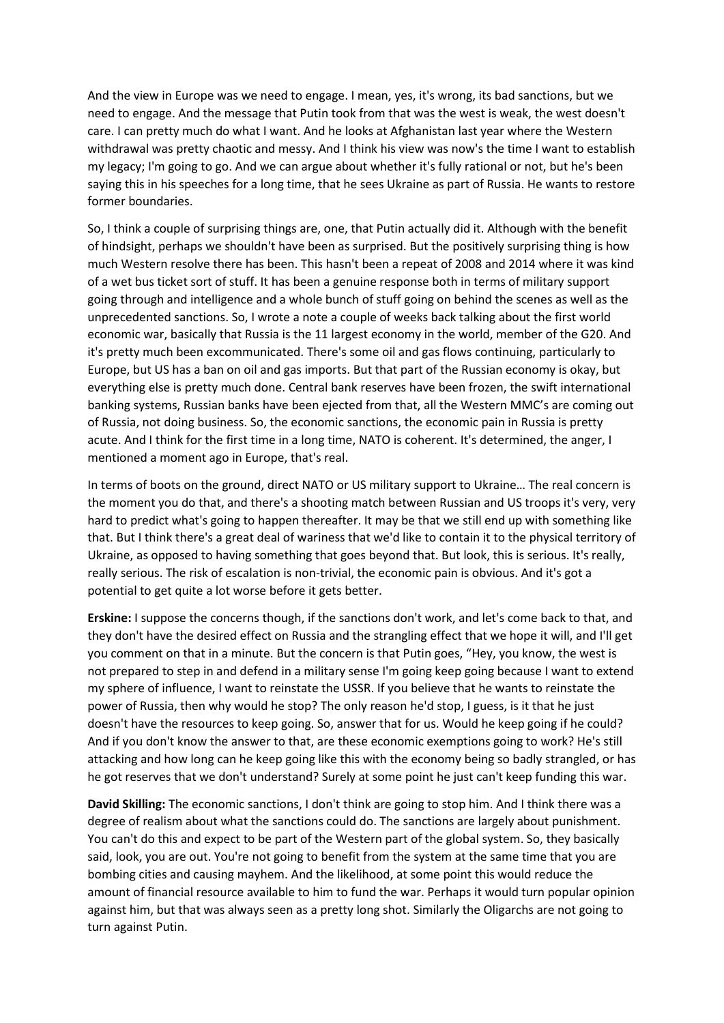And the view in Europe was we need to engage. I mean, yes, it's wrong, its bad sanctions, but we need to engage. And the message that Putin took from that was the west is weak, the west doesn't care. I can pretty much do what I want. And he looks at Afghanistan last year where the Western withdrawal was pretty chaotic and messy. And I think his view was now's the time I want to establish my legacy; I'm going to go. And we can argue about whether it's fully rational or not, but he's been saying this in his speeches for a long time, that he sees Ukraine as part of Russia. He wants to restore former boundaries.

So, I think a couple of surprising things are, one, that Putin actually did it. Although with the benefit of hindsight, perhaps we shouldn't have been as surprised. But the positively surprising thing is how much Western resolve there has been. This hasn't been a repeat of 2008 and 2014 where it was kind of a wet bus ticket sort of stuff. It has been a genuine response both in terms of military support going through and intelligence and a whole bunch of stuff going on behind the scenes as well as the unprecedented sanctions. So, I wrote a note a couple of weeks back talking about the first world economic war, basically that Russia is the 11 largest economy in the world, member of the G20. And it's pretty much been excommunicated. There's some oil and gas flows continuing, particularly to Europe, but US has a ban on oil and gas imports. But that part of the Russian economy is okay, but everything else is pretty much done. Central bank reserves have been frozen, the swift international banking systems, Russian banks have been ejected from that, all the Western MMC's are coming out of Russia, not doing business. So, the economic sanctions, the economic pain in Russia is pretty acute. And I think for the first time in a long time, NATO is coherent. It's determined, the anger, I mentioned a moment ago in Europe, that's real.

In terms of boots on the ground, direct NATO or US military support to Ukraine… The real concern is the moment you do that, and there's a shooting match between Russian and US troops it's very, very hard to predict what's going to happen thereafter. It may be that we still end up with something like that. But I think there's a great deal of wariness that we'd like to contain it to the physical territory of Ukraine, as opposed to having something that goes beyond that. But look, this is serious. It's really, really serious. The risk of escalation is non-trivial, the economic pain is obvious. And it's got a potential to get quite a lot worse before it gets better.

**Erskine:** I suppose the concerns though, if the sanctions don't work, and let's come back to that, and they don't have the desired effect on Russia and the strangling effect that we hope it will, and I'll get you comment on that in a minute. But the concern is that Putin goes, "Hey, you know, the west is not prepared to step in and defend in a military sense I'm going keep going because I want to extend my sphere of influence, I want to reinstate the USSR. If you believe that he wants to reinstate the power of Russia, then why would he stop? The only reason he'd stop, I guess, is it that he just doesn't have the resources to keep going. So, answer that for us. Would he keep going if he could? And if you don't know the answer to that, are these economic exemptions going to work? He's still attacking and how long can he keep going like this with the economy being so badly strangled, or has he got reserves that we don't understand? Surely at some point he just can't keep funding this war.

**David Skilling:** The economic sanctions, I don't think are going to stop him. And I think there was a degree of realism about what the sanctions could do. The sanctions are largely about punishment. You can't do this and expect to be part of the Western part of the global system. So, they basically said, look, you are out. You're not going to benefit from the system at the same time that you are bombing cities and causing mayhem. And the likelihood, at some point this would reduce the amount of financial resource available to him to fund the war. Perhaps it would turn popular opinion against him, but that was always seen as a pretty long shot. Similarly the Oligarchs are not going to turn against Putin.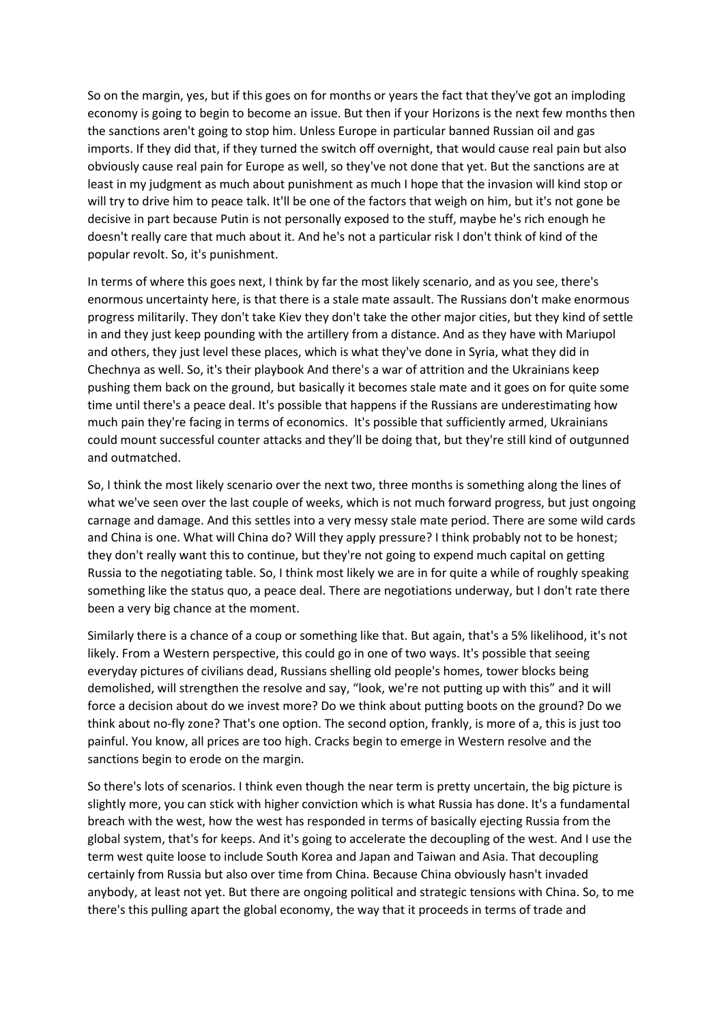So on the margin, yes, but if this goes on for months or years the fact that they've got an imploding economy is going to begin to become an issue. But then if your Horizons is the next few months then the sanctions aren't going to stop him. Unless Europe in particular banned Russian oil and gas imports. If they did that, if they turned the switch off overnight, that would cause real pain but also obviously cause real pain for Europe as well, so they've not done that yet. But the sanctions are at least in my judgment as much about punishment as much I hope that the invasion will kind stop or will try to drive him to peace talk. It'll be one of the factors that weigh on him, but it's not gone be decisive in part because Putin is not personally exposed to the stuff, maybe he's rich enough he doesn't really care that much about it. And he's not a particular risk I don't think of kind of the popular revolt. So, it's punishment.

In terms of where this goes next, I think by far the most likely scenario, and as you see, there's enormous uncertainty here, is that there is a stale mate assault. The Russians don't make enormous progress militarily. They don't take Kiev they don't take the other major cities, but they kind of settle in and they just keep pounding with the artillery from a distance. And as they have with Mariupol and others, they just level these places, which is what they've done in Syria, what they did in Chechnya as well. So, it's their playbook And there's a war of attrition and the Ukrainians keep pushing them back on the ground, but basically it becomes stale mate and it goes on for quite some time until there's a peace deal. It's possible that happens if the Russians are underestimating how much pain they're facing in terms of economics. It's possible that sufficiently armed, Ukrainians could mount successful counter attacks and they'll be doing that, but they're still kind of outgunned and outmatched.

So, I think the most likely scenario over the next two, three months is something along the lines of what we've seen over the last couple of weeks, which is not much forward progress, but just ongoing carnage and damage. And this settles into a very messy stale mate period. There are some wild cards and China is one. What will China do? Will they apply pressure? I think probably not to be honest; they don't really want this to continue, but they're not going to expend much capital on getting Russia to the negotiating table. So, I think most likely we are in for quite a while of roughly speaking something like the status quo, a peace deal. There are negotiations underway, but I don't rate there been a very big chance at the moment.

Similarly there is a chance of a coup or something like that. But again, that's a 5% likelihood, it's not likely. From a Western perspective, this could go in one of two ways. It's possible that seeing everyday pictures of civilians dead, Russians shelling old people's homes, tower blocks being demolished, will strengthen the resolve and say, "look, we're not putting up with this" and it will force a decision about do we invest more? Do we think about putting boots on the ground? Do we think about no-fly zone? That's one option. The second option, frankly, is more of a, this is just too painful. You know, all prices are too high. Cracks begin to emerge in Western resolve and the sanctions begin to erode on the margin.

So there's lots of scenarios. I think even though the near term is pretty uncertain, the big picture is slightly more, you can stick with higher conviction which is what Russia has done. It's a fundamental breach with the west, how the west has responded in terms of basically ejecting Russia from the global system, that's for keeps. And it's going to accelerate the decoupling of the west. And I use the term west quite loose to include South Korea and Japan and Taiwan and Asia. That decoupling certainly from Russia but also over time from China. Because China obviously hasn't invaded anybody, at least not yet. But there are ongoing political and strategic tensions with China. So, to me there's this pulling apart the global economy, the way that it proceeds in terms of trade and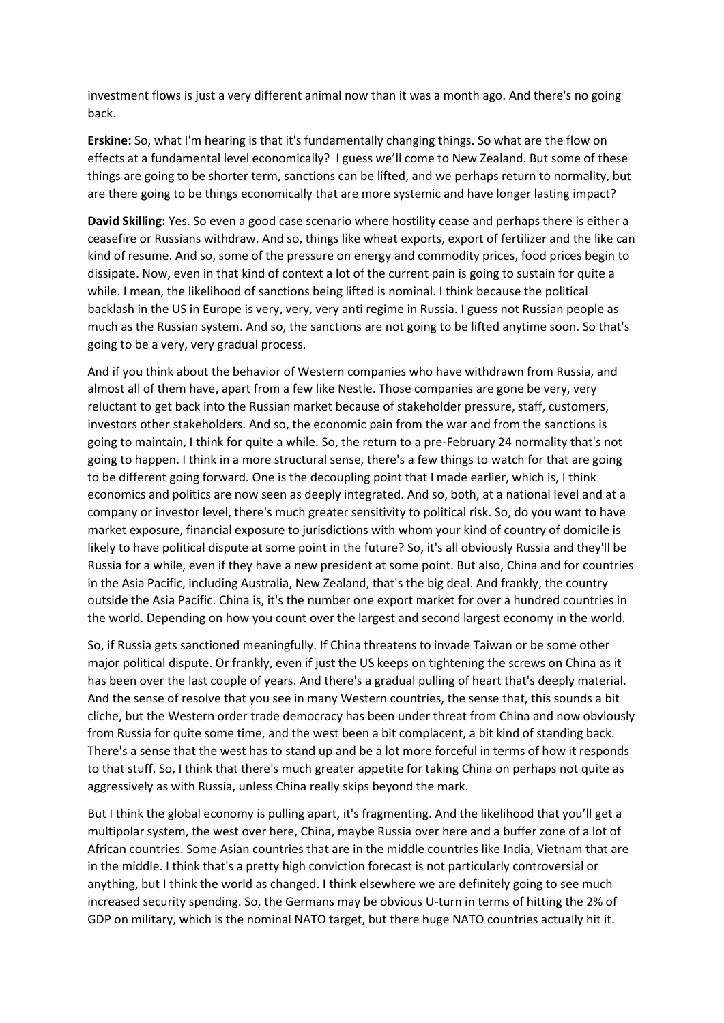investment flows is just a very different animal now than it was a month ago. And there's no going back.

**Erskine:** So, what I'm hearing is that it's fundamentally changing things. So what are the flow on effects at a fundamental level economically? I guess we'll come to New Zealand. But some of these things are going to be shorter term, sanctions can be lifted, and we perhaps return to normality, but are there going to be things economically that are more systemic and have longer lasting impact?

**David Skilling:** Yes. So even a good case scenario where hostility cease and perhaps there is either a ceasefire or Russians withdraw. And so, things like wheat exports, export of fertilizer and the like can kind of resume. And so, some of the pressure on energy and commodity prices, food prices begin to dissipate. Now, even in that kind of context a lot of the current pain is going to sustain for quite a while. I mean, the likelihood of sanctions being lifted is nominal. I think because the political backlash in the US in Europe is very, very, very anti regime in Russia. I guess not Russian people as much as the Russian system. And so, the sanctions are not going to be lifted anytime soon. So that's going to be a very, very gradual process.

And if you think about the behavior of Western companies who have withdrawn from Russia, and almost all of them have, apart from a few like Nestle. Those companies are gone be very, very reluctant to get back into the Russian market because of stakeholder pressure, staff, customers, investors other stakeholders. And so, the economic pain from the war and from the sanctions is going to maintain, I think for quite a while. So, the return to a pre-February 24 normality that's not going to happen. I think in a more structural sense, there's a few things to watch for that are going to be different going forward. One is the decoupling point that I made earlier, which is, I think economics and politics are now seen as deeply integrated. And so, both, at a national level and at a company or investor level, there's much greater sensitivity to political risk. So, do you want to have market exposure, financial exposure to jurisdictions with whom your kind of country of domicile is likely to have political dispute at some point in the future? So, it's all obviously Russia and they'll be Russia for a while, even if they have a new president at some point. But also, China and for countries in the Asia Pacific, including Australia, New Zealand, that's the big deal. And frankly, the country outside the Asia Pacific. China is, it's the number one export market for over a hundred countries in the world. Depending on how you count over the largest and second largest economy in the world.

So, if Russia gets sanctioned meaningfully. If China threatens to invade Taiwan or be some other major political dispute. Or frankly, even if just the US keeps on tightening the screws on China as it has been over the last couple of years. And there's a gradual pulling of heart that's deeply material. And the sense of resolve that you see in many Western countries, the sense that, this sounds a bit cliche, but the Western order trade democracy has been under threat from China and now obviously from Russia for quite some time, and the west been a bit complacent, a bit kind of standing back. There's a sense that the west has to stand up and be a lot more forceful in terms of how it responds to that stuff. So, I think that there's much greater appetite for taking China on perhaps not quite as aggressively as with Russia, unless China really skips beyond the mark.

But I think the global economy is pulling apart, it's fragmenting. And the likelihood that you'll get a multipolar system, the west over here, China, maybe Russia over here and a buffer zone of a lot of African countries. Some Asian countries that are in the middle countries like India, Vietnam that are in the middle. I think that's a pretty high conviction forecast is not particularly controversial or anything, but I think the world as changed. I think elsewhere we are definitely going to see much increased security spending. So, the Germans may be obvious U-turn in terms of hitting the 2% of GDP on military, which is the nominal NATO target, but there huge NATO countries actually hit it.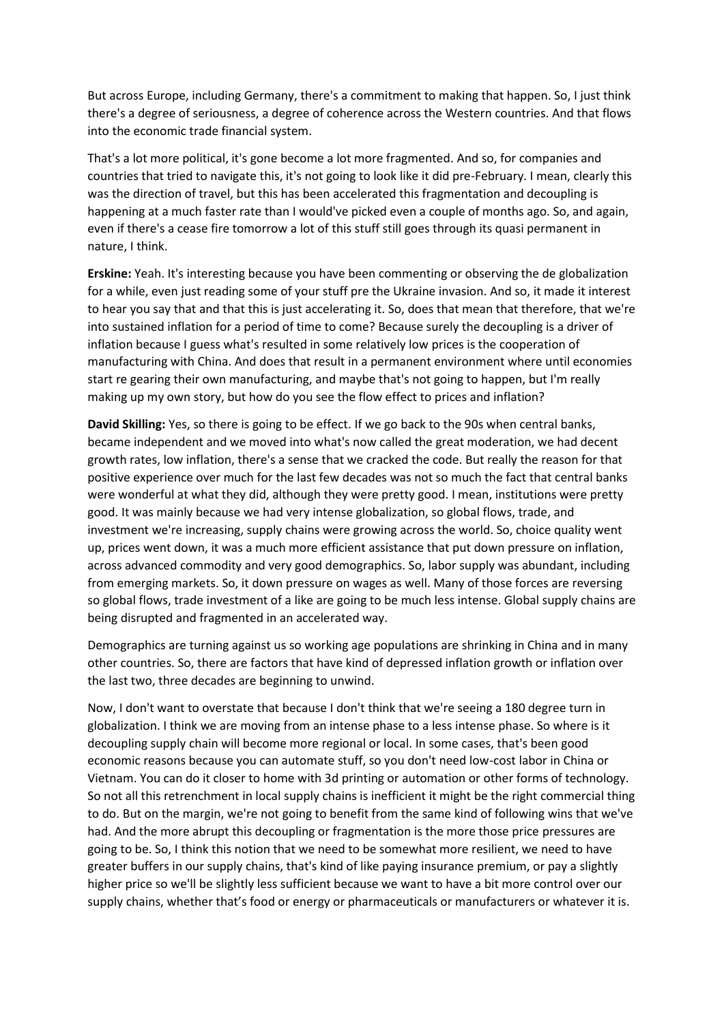But across Europe, including Germany, there's a commitment to making that happen. So, I just think there's a degree of seriousness, a degree of coherence across the Western countries. And that flows into the economic trade financial system.

That's a lot more political, it's gone become a lot more fragmented. And so, for companies and countries that tried to navigate this, it's not going to look like it did pre-February. I mean, clearly this was the direction of travel, but this has been accelerated this fragmentation and decoupling is happening at a much faster rate than I would've picked even a couple of months ago. So, and again, even if there's a cease fire tomorrow a lot of this stuff still goes through its quasi permanent in nature, I think.

**Erskine:** Yeah. It's interesting because you have been commenting or observing the de globalization for a while, even just reading some of your stuff pre the Ukraine invasion. And so, it made it interest to hear you say that and that this is just accelerating it. So, does that mean that therefore, that we're into sustained inflation for a period of time to come? Because surely the decoupling is a driver of inflation because I guess what's resulted in some relatively low prices is the cooperation of manufacturing with China. And does that result in a permanent environment where until economies start re gearing their own manufacturing, and maybe that's not going to happen, but I'm really making up my own story, but how do you see the flow effect to prices and inflation?

**David Skilling:** Yes, so there is going to be effect. If we go back to the 90s when central banks, became independent and we moved into what's now called the great moderation, we had decent growth rates, low inflation, there's a sense that we cracked the code. But really the reason for that positive experience over much for the last few decades was not so much the fact that central banks were wonderful at what they did, although they were pretty good. I mean, institutions were pretty good. It was mainly because we had very intense globalization, so global flows, trade, and investment we're increasing, supply chains were growing across the world. So, choice quality went up, prices went down, it was a much more efficient assistance that put down pressure on inflation, across advanced commodity and very good demographics. So, labor supply was abundant, including from emerging markets. So, it down pressure on wages as well. Many of those forces are reversing so global flows, trade investment of a like are going to be much less intense. Global supply chains are being disrupted and fragmented in an accelerated way.

Demographics are turning against us so working age populations are shrinking in China and in many other countries. So, there are factors that have kind of depressed inflation growth or inflation over the last two, three decades are beginning to unwind.

Now, I don't want to overstate that because I don't think that we're seeing a 180 degree turn in globalization. I think we are moving from an intense phase to a less intense phase. So where is it decoupling supply chain will become more regional or local. In some cases, that's been good economic reasons because you can automate stuff, so you don't need low-cost labor in China or Vietnam. You can do it closer to home with 3d printing or automation or other forms of technology. So not all this retrenchment in local supply chains is inefficient it might be the right commercial thing to do. But on the margin, we're not going to benefit from the same kind of following wins that we've had. And the more abrupt this decoupling or fragmentation is the more those price pressures are going to be. So, I think this notion that we need to be somewhat more resilient, we need to have greater buffers in our supply chains, that's kind of like paying insurance premium, or pay a slightly higher price so we'll be slightly less sufficient because we want to have a bit more control over our supply chains, whether that's food or energy or pharmaceuticals or manufacturers or whatever it is.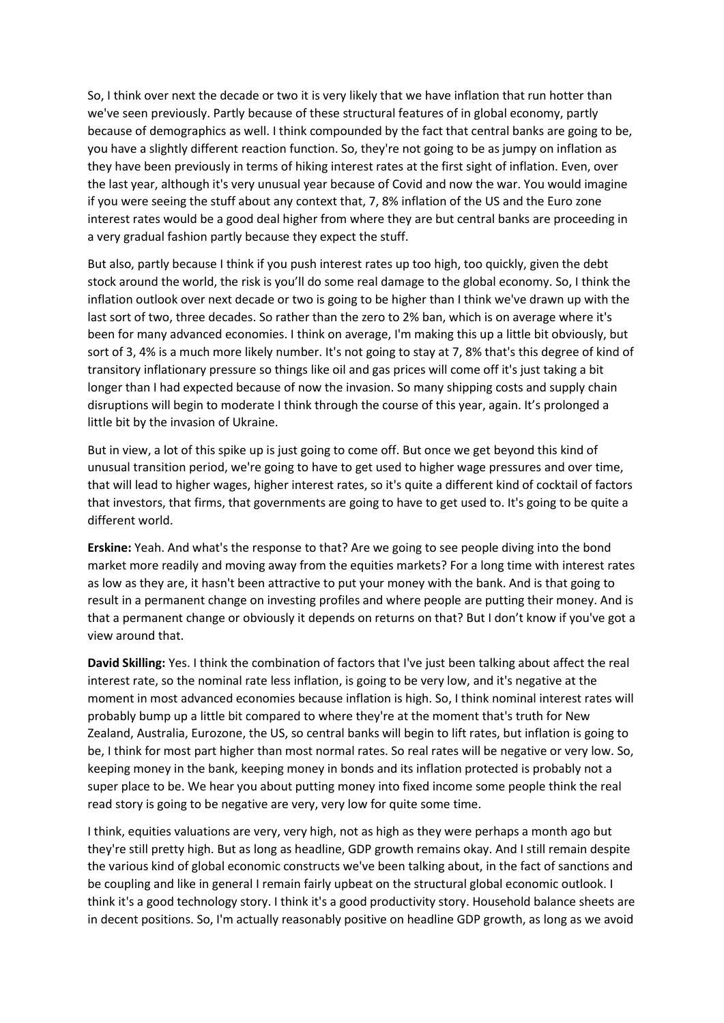So, I think over next the decade or two it is very likely that we have inflation that run hotter than we've seen previously. Partly because of these structural features of in global economy, partly because of demographics as well. I think compounded by the fact that central banks are going to be, you have a slightly different reaction function. So, they're not going to be as jumpy on inflation as they have been previously in terms of hiking interest rates at the first sight of inflation. Even, over the last year, although it's very unusual year because of Covid and now the war. You would imagine if you were seeing the stuff about any context that, 7, 8% inflation of the US and the Euro zone interest rates would be a good deal higher from where they are but central banks are proceeding in a very gradual fashion partly because they expect the stuff.

But also, partly because I think if you push interest rates up too high, too quickly, given the debt stock around the world, the risk is you'll do some real damage to the global economy. So, I think the inflation outlook over next decade or two is going to be higher than I think we've drawn up with the last sort of two, three decades. So rather than the zero to 2% ban, which is on average where it's been for many advanced economies. I think on average, I'm making this up a little bit obviously, but sort of 3, 4% is a much more likely number. It's not going to stay at 7, 8% that's this degree of kind of transitory inflationary pressure so things like oil and gas prices will come off it's just taking a bit longer than I had expected because of now the invasion. So many shipping costs and supply chain disruptions will begin to moderate I think through the course of this year, again. It's prolonged a little bit by the invasion of Ukraine.

But in view, a lot of this spike up is just going to come off. But once we get beyond this kind of unusual transition period, we're going to have to get used to higher wage pressures and over time, that will lead to higher wages, higher interest rates, so it's quite a different kind of cocktail of factors that investors, that firms, that governments are going to have to get used to. It's going to be quite a different world.

**Erskine:** Yeah. And what's the response to that? Are we going to see people diving into the bond market more readily and moving away from the equities markets? For a long time with interest rates as low as they are, it hasn't been attractive to put your money with the bank. And is that going to result in a permanent change on investing profiles and where people are putting their money. And is that a permanent change or obviously it depends on returns on that? But I don't know if you've got a view around that.

**David Skilling:** Yes. I think the combination of factors that I've just been talking about affect the real interest rate, so the nominal rate less inflation, is going to be very low, and it's negative at the moment in most advanced economies because inflation is high. So, I think nominal interest rates will probably bump up a little bit compared to where they're at the moment that's truth for New Zealand, Australia, Eurozone, the US, so central banks will begin to lift rates, but inflation is going to be, I think for most part higher than most normal rates. So real rates will be negative or very low. So, keeping money in the bank, keeping money in bonds and its inflation protected is probably not a super place to be. We hear you about putting money into fixed income some people think the real read story is going to be negative are very, very low for quite some time.

I think, equities valuations are very, very high, not as high as they were perhaps a month ago but they're still pretty high. But as long as headline, GDP growth remains okay. And I still remain despite the various kind of global economic constructs we've been talking about, in the fact of sanctions and be coupling and like in general I remain fairly upbeat on the structural global economic outlook. I think it's a good technology story. I think it's a good productivity story. Household balance sheets are in decent positions. So, I'm actually reasonably positive on headline GDP growth, as long as we avoid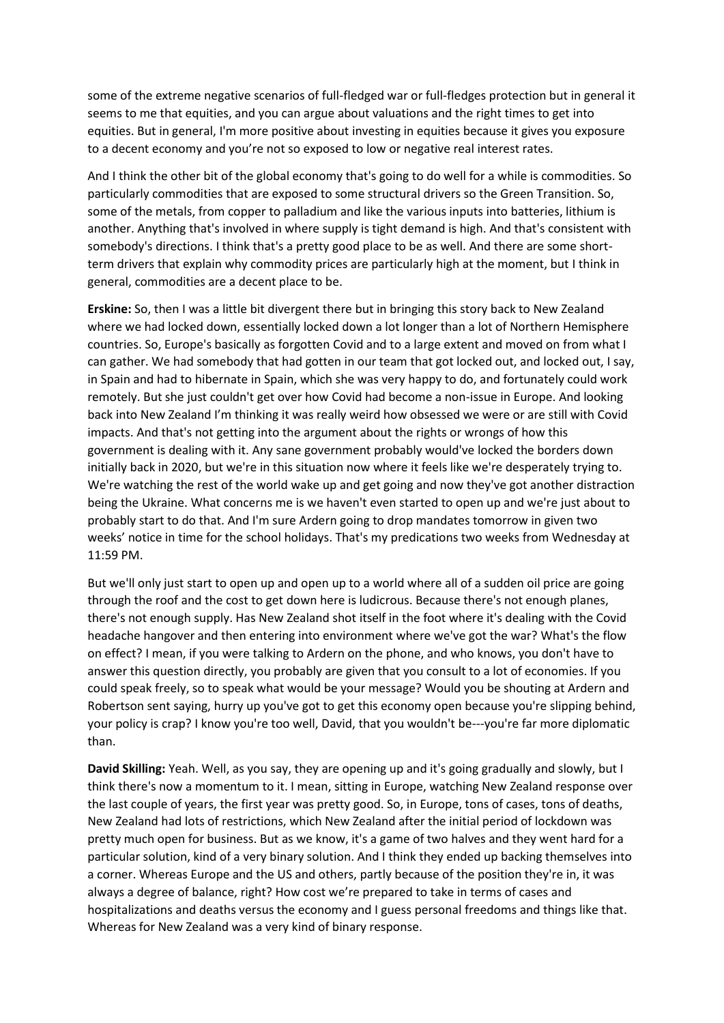some of the extreme negative scenarios of full-fledged war or full-fledges protection but in general it seems to me that equities, and you can argue about valuations and the right times to get into equities. But in general, I'm more positive about investing in equities because it gives you exposure to a decent economy and you're not so exposed to low or negative real interest rates.

And I think the other bit of the global economy that's going to do well for a while is commodities. So particularly commodities that are exposed to some structural drivers so the Green Transition. So, some of the metals, from copper to palladium and like the various inputs into batteries, lithium is another. Anything that's involved in where supply is tight demand is high. And that's consistent with somebody's directions. I think that's a pretty good place to be as well. And there are some shortterm drivers that explain why commodity prices are particularly high at the moment, but I think in general, commodities are a decent place to be.

**Erskine:** So, then I was a little bit divergent there but in bringing this story back to New Zealand where we had locked down, essentially locked down a lot longer than a lot of Northern Hemisphere countries. So, Europe's basically as forgotten Covid and to a large extent and moved on from what I can gather. We had somebody that had gotten in our team that got locked out, and locked out, I say, in Spain and had to hibernate in Spain, which she was very happy to do, and fortunately could work remotely. But she just couldn't get over how Covid had become a non-issue in Europe. And looking back into New Zealand I'm thinking it was really weird how obsessed we were or are still with Covid impacts. And that's not getting into the argument about the rights or wrongs of how this government is dealing with it. Any sane government probably would've locked the borders down initially back in 2020, but we're in this situation now where it feels like we're desperately trying to. We're watching the rest of the world wake up and get going and now they've got another distraction being the Ukraine. What concerns me is we haven't even started to open up and we're just about to probably start to do that. And I'm sure Ardern going to drop mandates tomorrow in given two weeks' notice in time for the school holidays. That's my predications two weeks from Wednesday at 11:59 PM.

But we'll only just start to open up and open up to a world where all of a sudden oil price are going through the roof and the cost to get down here is ludicrous. Because there's not enough planes, there's not enough supply. Has New Zealand shot itself in the foot where it's dealing with the Covid headache hangover and then entering into environment where we've got the war? What's the flow on effect? I mean, if you were talking to Ardern on the phone, and who knows, you don't have to answer this question directly, you probably are given that you consult to a lot of economies. If you could speak freely, so to speak what would be your message? Would you be shouting at Ardern and Robertson sent saying, hurry up you've got to get this economy open because you're slipping behind, your policy is crap? I know you're too well, David, that you wouldn't be---you're far more diplomatic than.

**David Skilling:** Yeah. Well, as you say, they are opening up and it's going gradually and slowly, but I think there's now a momentum to it. I mean, sitting in Europe, watching New Zealand response over the last couple of years, the first year was pretty good. So, in Europe, tons of cases, tons of deaths, New Zealand had lots of restrictions, which New Zealand after the initial period of lockdown was pretty much open for business. But as we know, it's a game of two halves and they went hard for a particular solution, kind of a very binary solution. And I think they ended up backing themselves into a corner. Whereas Europe and the US and others, partly because of the position they're in, it was always a degree of balance, right? How cost we're prepared to take in terms of cases and hospitalizations and deaths versus the economy and I guess personal freedoms and things like that. Whereas for New Zealand was a very kind of binary response.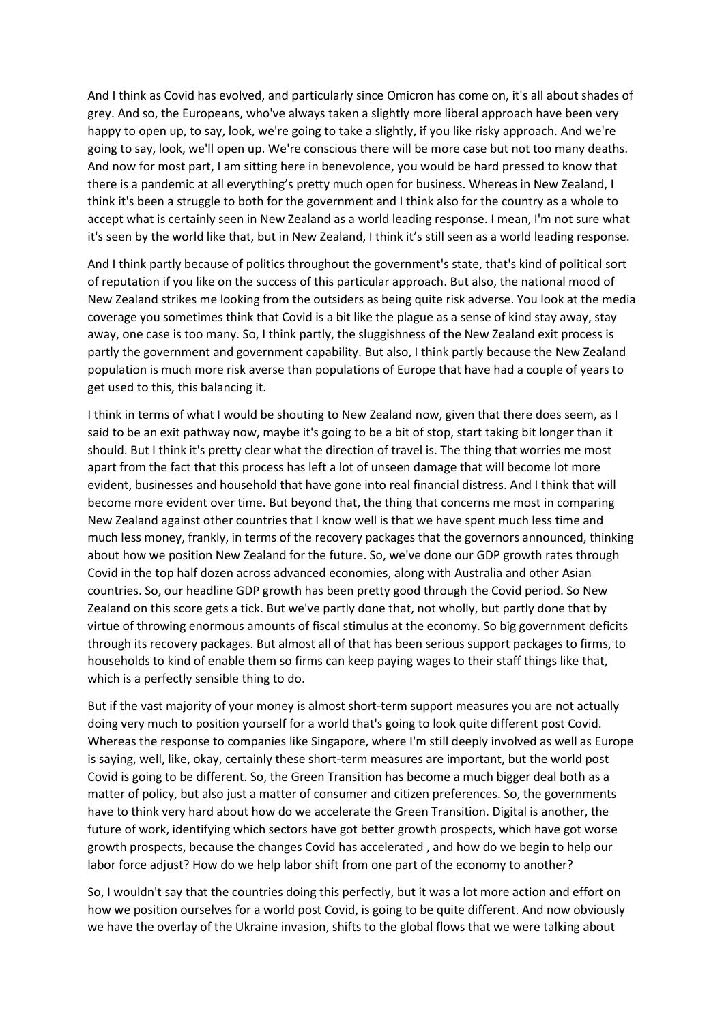And I think as Covid has evolved, and particularly since Omicron has come on, it's all about shades of grey. And so, the Europeans, who've always taken a slightly more liberal approach have been very happy to open up, to say, look, we're going to take a slightly, if you like risky approach. And we're going to say, look, we'll open up. We're conscious there will be more case but not too many deaths. And now for most part, I am sitting here in benevolence, you would be hard pressed to know that there is a pandemic at all everything's pretty much open for business. Whereas in New Zealand, I think it's been a struggle to both for the government and I think also for the country as a whole to accept what is certainly seen in New Zealand as a world leading response. I mean, I'm not sure what it's seen by the world like that, but in New Zealand, I think it's still seen as a world leading response.

And I think partly because of politics throughout the government's state, that's kind of political sort of reputation if you like on the success of this particular approach. But also, the national mood of New Zealand strikes me looking from the outsiders as being quite risk adverse. You look at the media coverage you sometimes think that Covid is a bit like the plague as a sense of kind stay away, stay away, one case is too many. So, I think partly, the sluggishness of the New Zealand exit process is partly the government and government capability. But also, I think partly because the New Zealand population is much more risk averse than populations of Europe that have had a couple of years to get used to this, this balancing it.

I think in terms of what I would be shouting to New Zealand now, given that there does seem, as I said to be an exit pathway now, maybe it's going to be a bit of stop, start taking bit longer than it should. But I think it's pretty clear what the direction of travel is. The thing that worries me most apart from the fact that this process has left a lot of unseen damage that will become lot more evident, businesses and household that have gone into real financial distress. And I think that will become more evident over time. But beyond that, the thing that concerns me most in comparing New Zealand against other countries that I know well is that we have spent much less time and much less money, frankly, in terms of the recovery packages that the governors announced, thinking about how we position New Zealand for the future. So, we've done our GDP growth rates through Covid in the top half dozen across advanced economies, along with Australia and other Asian countries. So, our headline GDP growth has been pretty good through the Covid period. So New Zealand on this score gets a tick. But we've partly done that, not wholly, but partly done that by virtue of throwing enormous amounts of fiscal stimulus at the economy. So big government deficits through its recovery packages. But almost all of that has been serious support packages to firms, to households to kind of enable them so firms can keep paying wages to their staff things like that, which is a perfectly sensible thing to do.

But if the vast majority of your money is almost short-term support measures you are not actually doing very much to position yourself for a world that's going to look quite different post Covid. Whereas the response to companies like Singapore, where I'm still deeply involved as well as Europe is saying, well, like, okay, certainly these short-term measures are important, but the world post Covid is going to be different. So, the Green Transition has become a much bigger deal both as a matter of policy, but also just a matter of consumer and citizen preferences. So, the governments have to think very hard about how do we accelerate the Green Transition. Digital is another, the future of work, identifying which sectors have got better growth prospects, which have got worse growth prospects, because the changes Covid has accelerated , and how do we begin to help our labor force adjust? How do we help labor shift from one part of the economy to another?

So, I wouldn't say that the countries doing this perfectly, but it was a lot more action and effort on how we position ourselves for a world post Covid, is going to be quite different. And now obviously we have the overlay of the Ukraine invasion, shifts to the global flows that we were talking about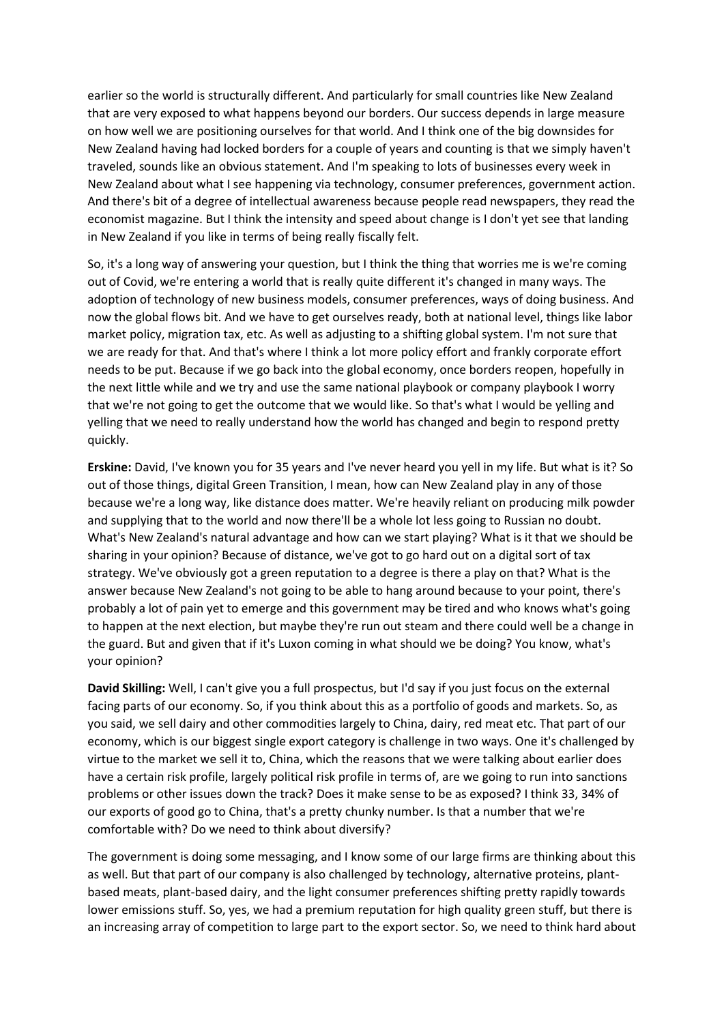earlier so the world is structurally different. And particularly for small countries like New Zealand that are very exposed to what happens beyond our borders. Our success depends in large measure on how well we are positioning ourselves for that world. And I think one of the big downsides for New Zealand having had locked borders for a couple of years and counting is that we simply haven't traveled, sounds like an obvious statement. And I'm speaking to lots of businesses every week in New Zealand about what I see happening via technology, consumer preferences, government action. And there's bit of a degree of intellectual awareness because people read newspapers, they read the economist magazine. But I think the intensity and speed about change is I don't yet see that landing in New Zealand if you like in terms of being really fiscally felt.

So, it's a long way of answering your question, but I think the thing that worries me is we're coming out of Covid, we're entering a world that is really quite different it's changed in many ways. The adoption of technology of new business models, consumer preferences, ways of doing business. And now the global flows bit. And we have to get ourselves ready, both at national level, things like labor market policy, migration tax, etc. As well as adjusting to a shifting global system. I'm not sure that we are ready for that. And that's where I think a lot more policy effort and frankly corporate effort needs to be put. Because if we go back into the global economy, once borders reopen, hopefully in the next little while and we try and use the same national playbook or company playbook I worry that we're not going to get the outcome that we would like. So that's what I would be yelling and yelling that we need to really understand how the world has changed and begin to respond pretty quickly.

**Erskine:** David, I've known you for 35 years and I've never heard you yell in my life. But what is it? So out of those things, digital Green Transition, I mean, how can New Zealand play in any of those because we're a long way, like distance does matter. We're heavily reliant on producing milk powder and supplying that to the world and now there'll be a whole lot less going to Russian no doubt. What's New Zealand's natural advantage and how can we start playing? What is it that we should be sharing in your opinion? Because of distance, we've got to go hard out on a digital sort of tax strategy. We've obviously got a green reputation to a degree is there a play on that? What is the answer because New Zealand's not going to be able to hang around because to your point, there's probably a lot of pain yet to emerge and this government may be tired and who knows what's going to happen at the next election, but maybe they're run out steam and there could well be a change in the guard. But and given that if it's Luxon coming in what should we be doing? You know, what's your opinion?

**David Skilling:** Well, I can't give you a full prospectus, but I'd say if you just focus on the external facing parts of our economy. So, if you think about this as a portfolio of goods and markets. So, as you said, we sell dairy and other commodities largely to China, dairy, red meat etc. That part of our economy, which is our biggest single export category is challenge in two ways. One it's challenged by virtue to the market we sell it to, China, which the reasons that we were talking about earlier does have a certain risk profile, largely political risk profile in terms of, are we going to run into sanctions problems or other issues down the track? Does it make sense to be as exposed? I think 33, 34% of our exports of good go to China, that's a pretty chunky number. Is that a number that we're comfortable with? Do we need to think about diversify?

The government is doing some messaging, and I know some of our large firms are thinking about this as well. But that part of our company is also challenged by technology, alternative proteins, plantbased meats, plant-based dairy, and the light consumer preferences shifting pretty rapidly towards lower emissions stuff. So, yes, we had a premium reputation for high quality green stuff, but there is an increasing array of competition to large part to the export sector. So, we need to think hard about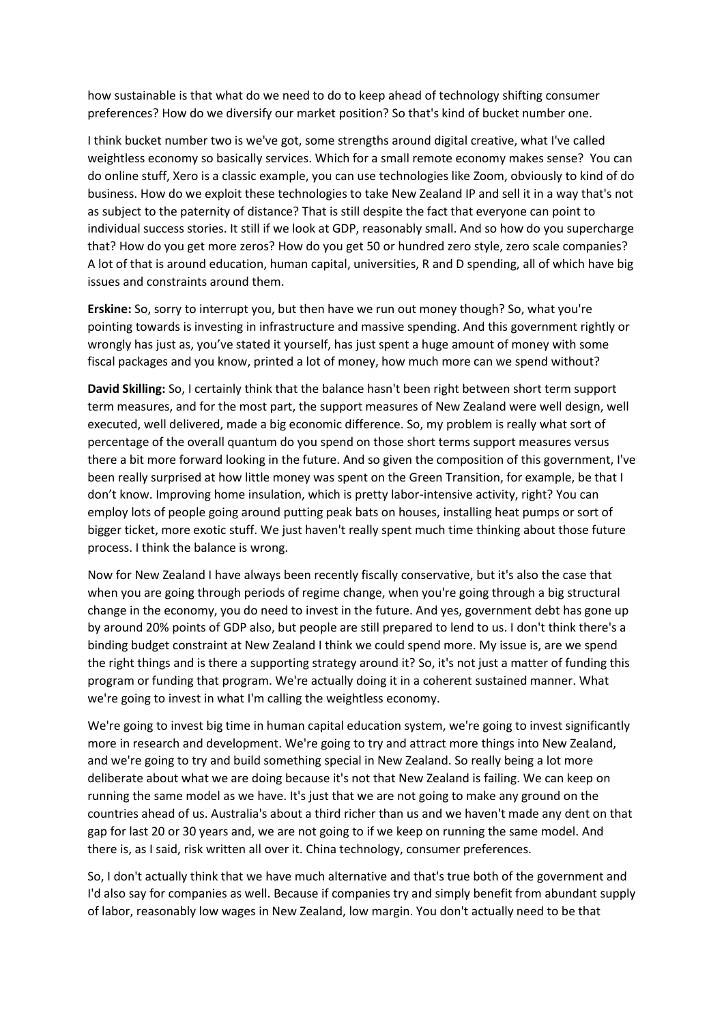how sustainable is that what do we need to do to keep ahead of technology shifting consumer preferences? How do we diversify our market position? So that's kind of bucket number one.

I think bucket number two is we've got, some strengths around digital creative, what I've called weightless economy so basically services. Which for a small remote economy makes sense? You can do online stuff, Xero is a classic example, you can use technologies like Zoom, obviously to kind of do business. How do we exploit these technologies to take New Zealand IP and sell it in a way that's not as subject to the paternity of distance? That is still despite the fact that everyone can point to individual success stories. It still if we look at GDP, reasonably small. And so how do you supercharge that? How do you get more zeros? How do you get 50 or hundred zero style, zero scale companies? A lot of that is around education, human capital, universities, R and D spending, all of which have big issues and constraints around them.

**Erskine:** So, sorry to interrupt you, but then have we run out money though? So, what you're pointing towards is investing in infrastructure and massive spending. And this government rightly or wrongly has just as, you've stated it yourself, has just spent a huge amount of money with some fiscal packages and you know, printed a lot of money, how much more can we spend without?

**David Skilling:** So, I certainly think that the balance hasn't been right between short term support term measures, and for the most part, the support measures of New Zealand were well design, well executed, well delivered, made a big economic difference. So, my problem is really what sort of percentage of the overall quantum do you spend on those short terms support measures versus there a bit more forward looking in the future. And so given the composition of this government, I've been really surprised at how little money was spent on the Green Transition, for example, be that I don't know. Improving home insulation, which is pretty labor-intensive activity, right? You can employ lots of people going around putting peak bats on houses, installing heat pumps or sort of bigger ticket, more exotic stuff. We just haven't really spent much time thinking about those future process. I think the balance is wrong.

Now for New Zealand I have always been recently fiscally conservative, but it's also the case that when you are going through periods of regime change, when you're going through a big structural change in the economy, you do need to invest in the future. And yes, government debt has gone up by around 20% points of GDP also, but people are still prepared to lend to us. I don't think there's a binding budget constraint at New Zealand I think we could spend more. My issue is, are we spend the right things and is there a supporting strategy around it? So, it's not just a matter of funding this program or funding that program. We're actually doing it in a coherent sustained manner. What we're going to invest in what I'm calling the weightless economy.

We're going to invest big time in human capital education system, we're going to invest significantly more in research and development. We're going to try and attract more things into New Zealand, and we're going to try and build something special in New Zealand. So really being a lot more deliberate about what we are doing because it's not that New Zealand is failing. We can keep on running the same model as we have. It's just that we are not going to make any ground on the countries ahead of us. Australia's about a third richer than us and we haven't made any dent on that gap for last 20 or 30 years and, we are not going to if we keep on running the same model. And there is, as I said, risk written all over it. China technology, consumer preferences.

So, I don't actually think that we have much alternative and that's true both of the government and I'd also say for companies as well. Because if companies try and simply benefit from abundant supply of labor, reasonably low wages in New Zealand, low margin. You don't actually need to be that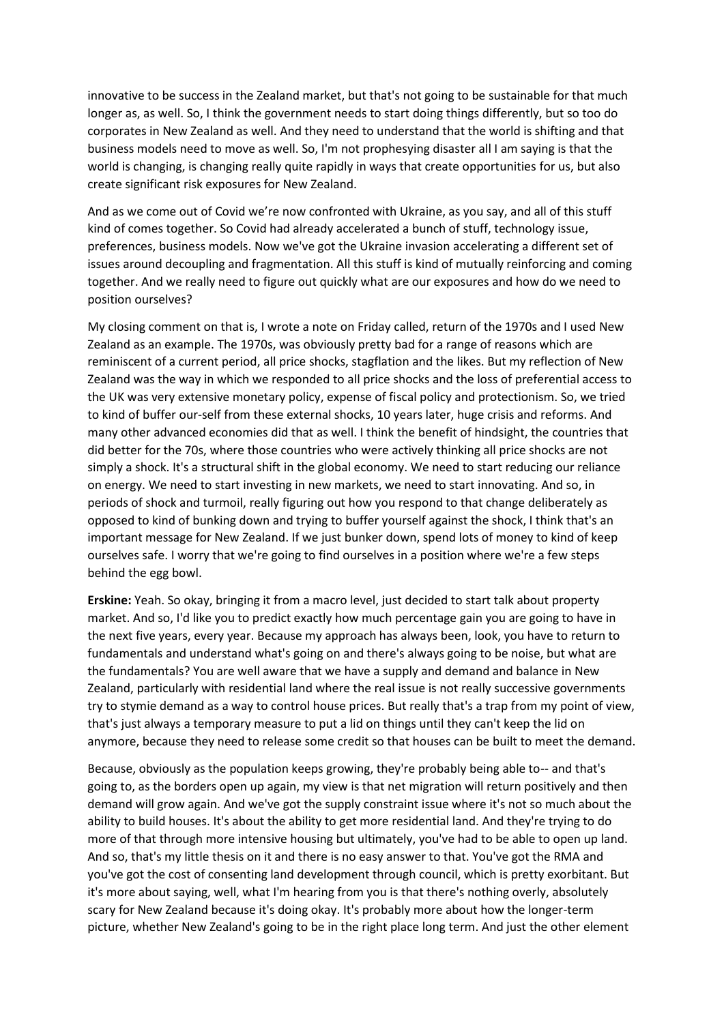innovative to be success in the Zealand market, but that's not going to be sustainable for that much longer as, as well. So, I think the government needs to start doing things differently, but so too do corporates in New Zealand as well. And they need to understand that the world is shifting and that business models need to move as well. So, I'm not prophesying disaster all I am saying is that the world is changing, is changing really quite rapidly in ways that create opportunities for us, but also create significant risk exposures for New Zealand.

And as we come out of Covid we're now confronted with Ukraine, as you say, and all of this stuff kind of comes together. So Covid had already accelerated a bunch of stuff, technology issue, preferences, business models. Now we've got the Ukraine invasion accelerating a different set of issues around decoupling and fragmentation. All this stuff is kind of mutually reinforcing and coming together. And we really need to figure out quickly what are our exposures and how do we need to position ourselves?

My closing comment on that is, I wrote a note on Friday called, return of the 1970s and I used New Zealand as an example. The 1970s, was obviously pretty bad for a range of reasons which are reminiscent of a current period, all price shocks, stagflation and the likes. But my reflection of New Zealand was the way in which we responded to all price shocks and the loss of preferential access to the UK was very extensive monetary policy, expense of fiscal policy and protectionism. So, we tried to kind of buffer our-self from these external shocks, 10 years later, huge crisis and reforms. And many other advanced economies did that as well. I think the benefit of hindsight, the countries that did better for the 70s, where those countries who were actively thinking all price shocks are not simply a shock. It's a structural shift in the global economy. We need to start reducing our reliance on energy. We need to start investing in new markets, we need to start innovating. And so, in periods of shock and turmoil, really figuring out how you respond to that change deliberately as opposed to kind of bunking down and trying to buffer yourself against the shock, I think that's an important message for New Zealand. If we just bunker down, spend lots of money to kind of keep ourselves safe. I worry that we're going to find ourselves in a position where we're a few steps behind the egg bowl.

**Erskine:** Yeah. So okay, bringing it from a macro level, just decided to start talk about property market. And so, I'd like you to predict exactly how much percentage gain you are going to have in the next five years, every year. Because my approach has always been, look, you have to return to fundamentals and understand what's going on and there's always going to be noise, but what are the fundamentals? You are well aware that we have a supply and demand and balance in New Zealand, particularly with residential land where the real issue is not really successive governments try to stymie demand as a way to control house prices. But really that's a trap from my point of view, that's just always a temporary measure to put a lid on things until they can't keep the lid on anymore, because they need to release some credit so that houses can be built to meet the demand.

Because, obviously as the population keeps growing, they're probably being able to-- and that's going to, as the borders open up again, my view is that net migration will return positively and then demand will grow again. And we've got the supply constraint issue where it's not so much about the ability to build houses. It's about the ability to get more residential land. And they're trying to do more of that through more intensive housing but ultimately, you've had to be able to open up land. And so, that's my little thesis on it and there is no easy answer to that. You've got the RMA and you've got the cost of consenting land development through council, which is pretty exorbitant. But it's more about saying, well, what I'm hearing from you is that there's nothing overly, absolutely scary for New Zealand because it's doing okay. It's probably more about how the longer-term picture, whether New Zealand's going to be in the right place long term. And just the other element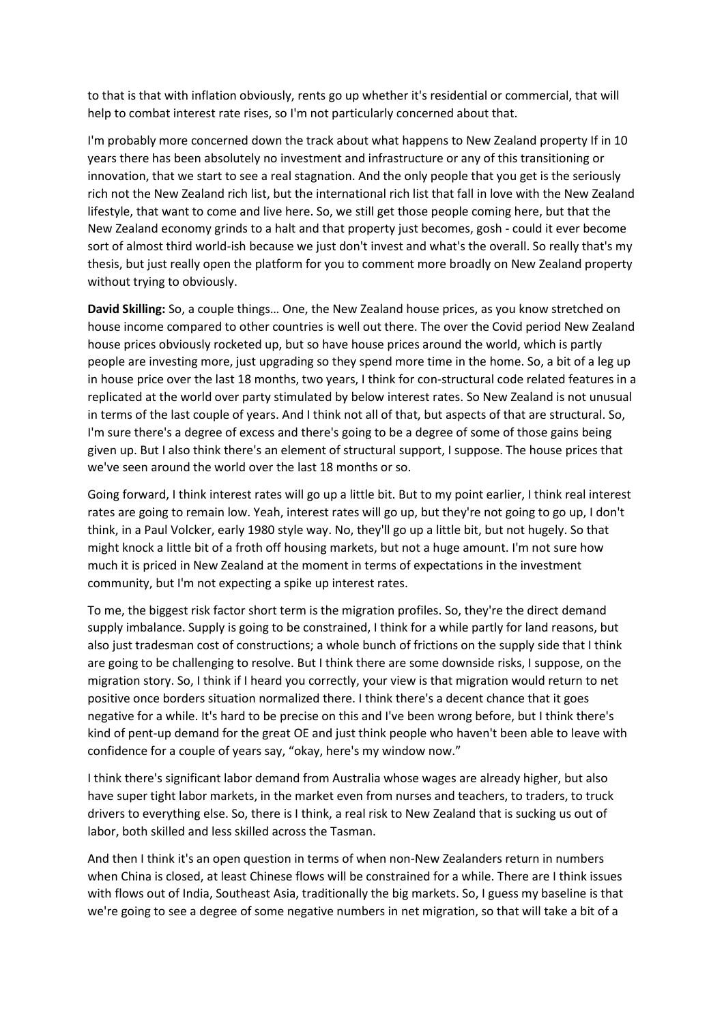to that is that with inflation obviously, rents go up whether it's residential or commercial, that will help to combat interest rate rises, so I'm not particularly concerned about that.

I'm probably more concerned down the track about what happens to New Zealand property If in 10 years there has been absolutely no investment and infrastructure or any of this transitioning or innovation, that we start to see a real stagnation. And the only people that you get is the seriously rich not the New Zealand rich list, but the international rich list that fall in love with the New Zealand lifestyle, that want to come and live here. So, we still get those people coming here, but that the New Zealand economy grinds to a halt and that property just becomes, gosh - could it ever become sort of almost third world-ish because we just don't invest and what's the overall. So really that's my thesis, but just really open the platform for you to comment more broadly on New Zealand property without trying to obviously.

**David Skilling:** So, a couple things… One, the New Zealand house prices, as you know stretched on house income compared to other countries is well out there. The over the Covid period New Zealand house prices obviously rocketed up, but so have house prices around the world, which is partly people are investing more, just upgrading so they spend more time in the home. So, a bit of a leg up in house price over the last 18 months, two years, I think for con-structural code related features in a replicated at the world over party stimulated by below interest rates. So New Zealand is not unusual in terms of the last couple of years. And I think not all of that, but aspects of that are structural. So, I'm sure there's a degree of excess and there's going to be a degree of some of those gains being given up. But I also think there's an element of structural support, I suppose. The house prices that we've seen around the world over the last 18 months or so.

Going forward, I think interest rates will go up a little bit. But to my point earlier, I think real interest rates are going to remain low. Yeah, interest rates will go up, but they're not going to go up, I don't think, in a Paul Volcker, early 1980 style way. No, they'll go up a little bit, but not hugely. So that might knock a little bit of a froth off housing markets, but not a huge amount. I'm not sure how much it is priced in New Zealand at the moment in terms of expectations in the investment community, but I'm not expecting a spike up interest rates.

To me, the biggest risk factor short term is the migration profiles. So, they're the direct demand supply imbalance. Supply is going to be constrained, I think for a while partly for land reasons, but also just tradesman cost of constructions; a whole bunch of frictions on the supply side that I think are going to be challenging to resolve. But I think there are some downside risks, I suppose, on the migration story. So, I think if I heard you correctly, your view is that migration would return to net positive once borders situation normalized there. I think there's a decent chance that it goes negative for a while. It's hard to be precise on this and I've been wrong before, but I think there's kind of pent-up demand for the great OE and just think people who haven't been able to leave with confidence for a couple of years say, "okay, here's my window now."

I think there's significant labor demand from Australia whose wages are already higher, but also have super tight labor markets, in the market even from nurses and teachers, to traders, to truck drivers to everything else. So, there is I think, a real risk to New Zealand that is sucking us out of labor, both skilled and less skilled across the Tasman.

And then I think it's an open question in terms of when non-New Zealanders return in numbers when China is closed, at least Chinese flows will be constrained for a while. There are I think issues with flows out of India, Southeast Asia, traditionally the big markets. So, I guess my baseline is that we're going to see a degree of some negative numbers in net migration, so that will take a bit of a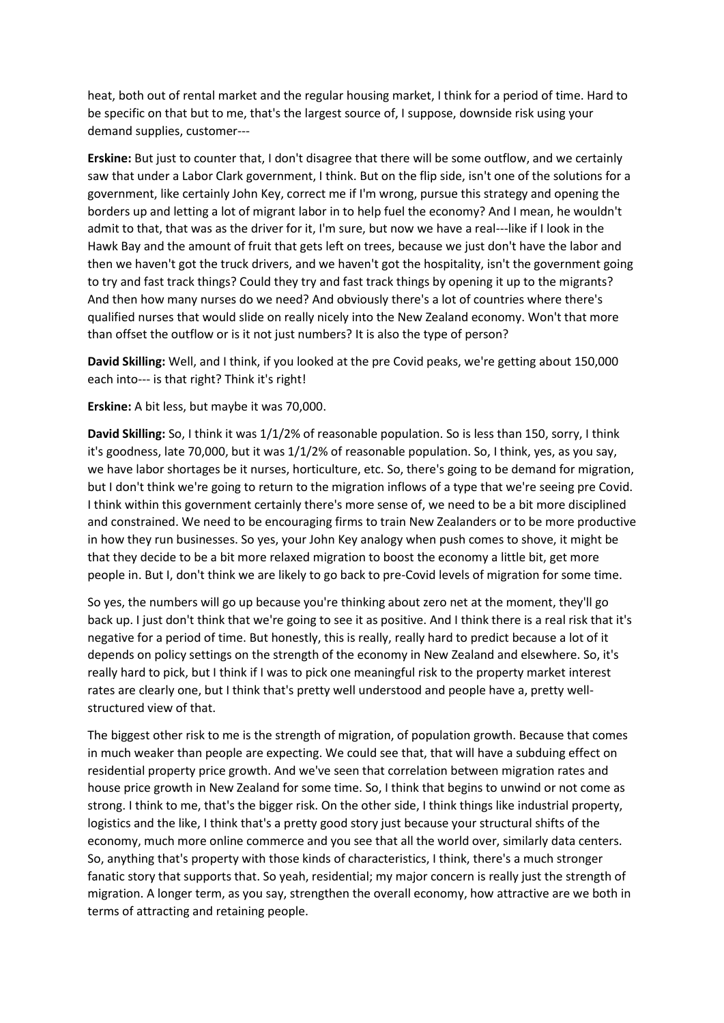heat, both out of rental market and the regular housing market, I think for a period of time. Hard to be specific on that but to me, that's the largest source of, I suppose, downside risk using your demand supplies, customer---

**Erskine:** But just to counter that, I don't disagree that there will be some outflow, and we certainly saw that under a Labor Clark government, I think. But on the flip side, isn't one of the solutions for a government, like certainly John Key, correct me if I'm wrong, pursue this strategy and opening the borders up and letting a lot of migrant labor in to help fuel the economy? And I mean, he wouldn't admit to that, that was as the driver for it, I'm sure, but now we have a real---like if I look in the Hawk Bay and the amount of fruit that gets left on trees, because we just don't have the labor and then we haven't got the truck drivers, and we haven't got the hospitality, isn't the government going to try and fast track things? Could they try and fast track things by opening it up to the migrants? And then how many nurses do we need? And obviously there's a lot of countries where there's qualified nurses that would slide on really nicely into the New Zealand economy. Won't that more than offset the outflow or is it not just numbers? It is also the type of person?

**David Skilling:** Well, and I think, if you looked at the pre Covid peaks, we're getting about 150,000 each into--- is that right? Think it's right!

**Erskine:** A bit less, but maybe it was 70,000.

**David Skilling:** So, I think it was 1/1/2% of reasonable population. So is less than 150, sorry, I think it's goodness, late 70,000, but it was 1/1/2% of reasonable population. So, I think, yes, as you say, we have labor shortages be it nurses, horticulture, etc. So, there's going to be demand for migration, but I don't think we're going to return to the migration inflows of a type that we're seeing pre Covid. I think within this government certainly there's more sense of, we need to be a bit more disciplined and constrained. We need to be encouraging firms to train New Zealanders or to be more productive in how they run businesses. So yes, your John Key analogy when push comes to shove, it might be that they decide to be a bit more relaxed migration to boost the economy a little bit, get more people in. But I, don't think we are likely to go back to pre-Covid levels of migration for some time.

So yes, the numbers will go up because you're thinking about zero net at the moment, they'll go back up. I just don't think that we're going to see it as positive. And I think there is a real risk that it's negative for a period of time. But honestly, this is really, really hard to predict because a lot of it depends on policy settings on the strength of the economy in New Zealand and elsewhere. So, it's really hard to pick, but I think if I was to pick one meaningful risk to the property market interest rates are clearly one, but I think that's pretty well understood and people have a, pretty wellstructured view of that.

The biggest other risk to me is the strength of migration, of population growth. Because that comes in much weaker than people are expecting. We could see that, that will have a subduing effect on residential property price growth. And we've seen that correlation between migration rates and house price growth in New Zealand for some time. So, I think that begins to unwind or not come as strong. I think to me, that's the bigger risk. On the other side, I think things like industrial property, logistics and the like, I think that's a pretty good story just because your structural shifts of the economy, much more online commerce and you see that all the world over, similarly data centers. So, anything that's property with those kinds of characteristics, I think, there's a much stronger fanatic story that supports that. So yeah, residential; my major concern is really just the strength of migration. A longer term, as you say, strengthen the overall economy, how attractive are we both in terms of attracting and retaining people.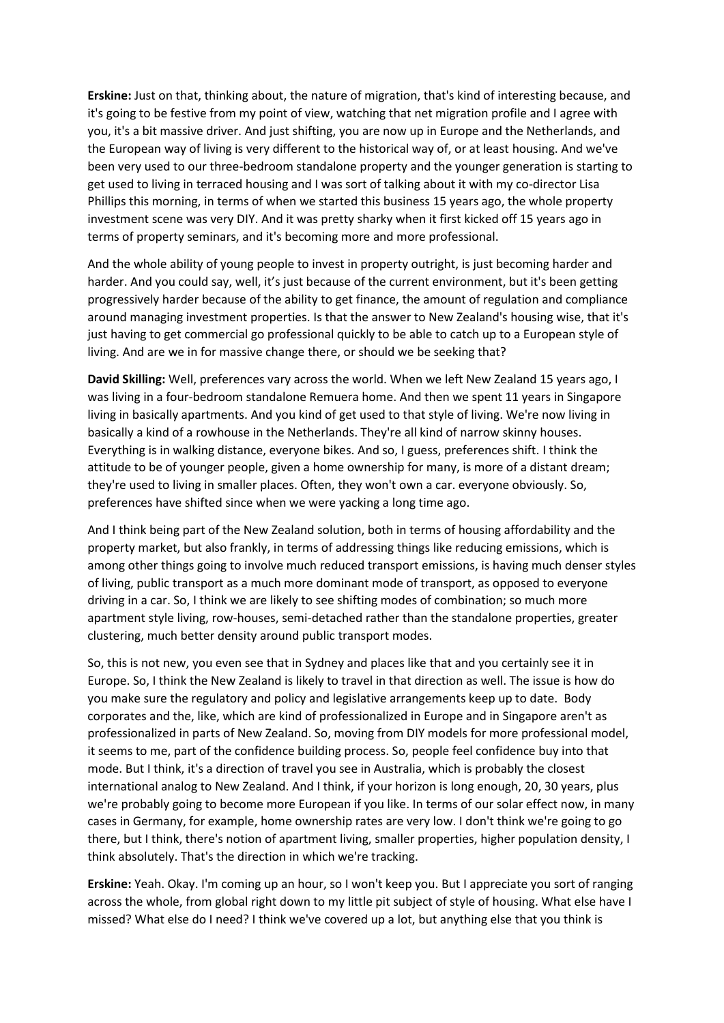**Erskine:** Just on that, thinking about, the nature of migration, that's kind of interesting because, and it's going to be festive from my point of view, watching that net migration profile and I agree with you, it's a bit massive driver. And just shifting, you are now up in Europe and the Netherlands, and the European way of living is very different to the historical way of, or at least housing. And we've been very used to our three-bedroom standalone property and the younger generation is starting to get used to living in terraced housing and I was sort of talking about it with my co-director Lisa Phillips this morning, in terms of when we started this business 15 years ago, the whole property investment scene was very DIY. And it was pretty sharky when it first kicked off 15 years ago in terms of property seminars, and it's becoming more and more professional.

And the whole ability of young people to invest in property outright, is just becoming harder and harder. And you could say, well, it's just because of the current environment, but it's been getting progressively harder because of the ability to get finance, the amount of regulation and compliance around managing investment properties. Is that the answer to New Zealand's housing wise, that it's just having to get commercial go professional quickly to be able to catch up to a European style of living. And are we in for massive change there, or should we be seeking that?

**David Skilling:** Well, preferences vary across the world. When we left New Zealand 15 years ago, I was living in a four-bedroom standalone Remuera home. And then we spent 11 years in Singapore living in basically apartments. And you kind of get used to that style of living. We're now living in basically a kind of a rowhouse in the Netherlands. They're all kind of narrow skinny houses. Everything is in walking distance, everyone bikes. And so, I guess, preferences shift. I think the attitude to be of younger people, given a home ownership for many, is more of a distant dream; they're used to living in smaller places. Often, they won't own a car. everyone obviously. So, preferences have shifted since when we were yacking a long time ago.

And I think being part of the New Zealand solution, both in terms of housing affordability and the property market, but also frankly, in terms of addressing things like reducing emissions, which is among other things going to involve much reduced transport emissions, is having much denser styles of living, public transport as a much more dominant mode of transport, as opposed to everyone driving in a car. So, I think we are likely to see shifting modes of combination; so much more apartment style living, row-houses, semi-detached rather than the standalone properties, greater clustering, much better density around public transport modes.

So, this is not new, you even see that in Sydney and places like that and you certainly see it in Europe. So, I think the New Zealand is likely to travel in that direction as well. The issue is how do you make sure the regulatory and policy and legislative arrangements keep up to date. Body corporates and the, like, which are kind of professionalized in Europe and in Singapore aren't as professionalized in parts of New Zealand. So, moving from DIY models for more professional model, it seems to me, part of the confidence building process. So, people feel confidence buy into that mode. But I think, it's a direction of travel you see in Australia, which is probably the closest international analog to New Zealand. And I think, if your horizon is long enough, 20, 30 years, plus we're probably going to become more European if you like. In terms of our solar effect now, in many cases in Germany, for example, home ownership rates are very low. I don't think we're going to go there, but I think, there's notion of apartment living, smaller properties, higher population density, I think absolutely. That's the direction in which we're tracking.

**Erskine:** Yeah. Okay. I'm coming up an hour, so I won't keep you. But I appreciate you sort of ranging across the whole, from global right down to my little pit subject of style of housing. What else have I missed? What else do I need? I think we've covered up a lot, but anything else that you think is